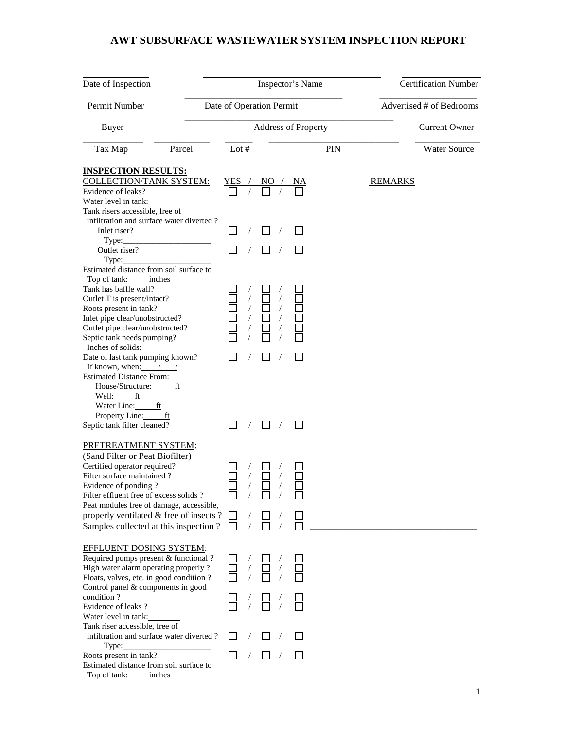## **AWT SUBSURFACE WASTEWATER SYSTEM INSPECTION REPORT**

| Date of Inspection                                                |                                            | Inspector's Name           | <b>Certification Number</b> |                     |
|-------------------------------------------------------------------|--------------------------------------------|----------------------------|-----------------------------|---------------------|
| Permit Number                                                     | Date of Operation Permit                   |                            | Advertised # of Bedrooms    |                     |
| Buyer                                                             |                                            | <b>Address of Property</b> | <b>Current Owner</b>        |                     |
| Tax Map<br>Parcel                                                 | Lot $#$                                    |                            | <b>PIN</b>                  | <b>Water Source</b> |
| <b>INSPECTION RESULTS:</b><br><b>COLLECTION/TANK SYSTEM:</b>      |                                            |                            |                             | <b>REMARKS</b>      |
| Evidence of leaks?                                                | $\frac{YES / NO / NA}{\Box / \Box / \Box}$ |                            |                             |                     |
| Water level in tank:                                              |                                            |                            |                             |                     |
| Tank risers accessible, free of                                   |                                            |                            |                             |                     |
| infiltration and surface water diverted?<br>Inlet riser?          |                                            |                            |                             |                     |
| Type:                                                             |                                            |                            |                             |                     |
| Outlet riser?                                                     |                                            |                            |                             |                     |
| Type:                                                             |                                            |                            |                             |                     |
| Estimated distance from soil surface to                           |                                            |                            |                             |                     |
| Top of tank: inches                                               |                                            |                            |                             |                     |
| Tank has baffle wall?                                             |                                            |                            |                             |                     |
| Outlet T is present/intact?                                       |                                            |                            |                             |                     |
| Roots present in tank?                                            |                                            |                            |                             |                     |
| Inlet pipe clear/unobstructed?                                    |                                            |                            |                             |                     |
| Outlet pipe clear/unobstructed?                                   |                                            |                            |                             |                     |
| Septic tank needs pumping?                                        |                                            |                            |                             |                     |
| Inches of solids:                                                 |                                            |                            |                             |                     |
| Date of last tank pumping known?                                  |                                            |                            |                             |                     |
| If known, when: $\angle$ /                                        |                                            |                            |                             |                     |
| <b>Estimated Distance From:</b>                                   |                                            |                            |                             |                     |
| House/Structure: ft                                               |                                            |                            |                             |                     |
| Well: ft                                                          |                                            |                            |                             |                     |
| Water Line:<br>ft                                                 |                                            |                            |                             |                     |
| Property Line: ft                                                 |                                            |                            |                             |                     |
| Septic tank filter cleaned?                                       |                                            |                            |                             |                     |
|                                                                   |                                            |                            |                             |                     |
| PRETREATMENT SYSTEM:                                              |                                            |                            |                             |                     |
| (Sand Filter or Peat Biofilter)                                   |                                            |                            |                             |                     |
| Certified operator required?                                      |                                            |                            |                             |                     |
| Filter surface maintained?                                        |                                            |                            |                             |                     |
| Evidence of ponding?                                              |                                            |                            |                             |                     |
| Filter effluent free of excess solids?                            |                                            |                            |                             |                     |
| Peat modules free of damage, accessible,                          |                                            |                            |                             |                     |
| properly ventilated & free of insects?                            |                                            |                            |                             |                     |
| Samples collected at this inspection?                             |                                            |                            |                             |                     |
|                                                                   |                                            |                            |                             |                     |
| <b>EFFLUENT DOSING SYSTEM:</b>                                    |                                            |                            |                             |                     |
| Required pumps present & functional ?                             |                                            |                            |                             |                     |
| High water alarm operating properly ?                             |                                            |                            |                             |                     |
| Floats, valves, etc. in good condition?                           |                                            |                            |                             |                     |
| Control panel & components in good                                |                                            |                            |                             |                     |
| condition?                                                        |                                            |                            |                             |                     |
| Evidence of leaks?                                                |                                            |                            |                             |                     |
| Water level in tank:                                              |                                            |                            |                             |                     |
| Tank riser accessible, free of                                    |                                            |                            |                             |                     |
| infiltration and surface water diverted?                          |                                            |                            |                             |                     |
| Type:                                                             |                                            |                            |                             |                     |
| Roots present in tank?<br>Estimated distance from soil surface to |                                            |                            |                             |                     |
| Top of tank:<br>inches                                            |                                            |                            |                             |                     |
|                                                                   |                                            |                            |                             |                     |